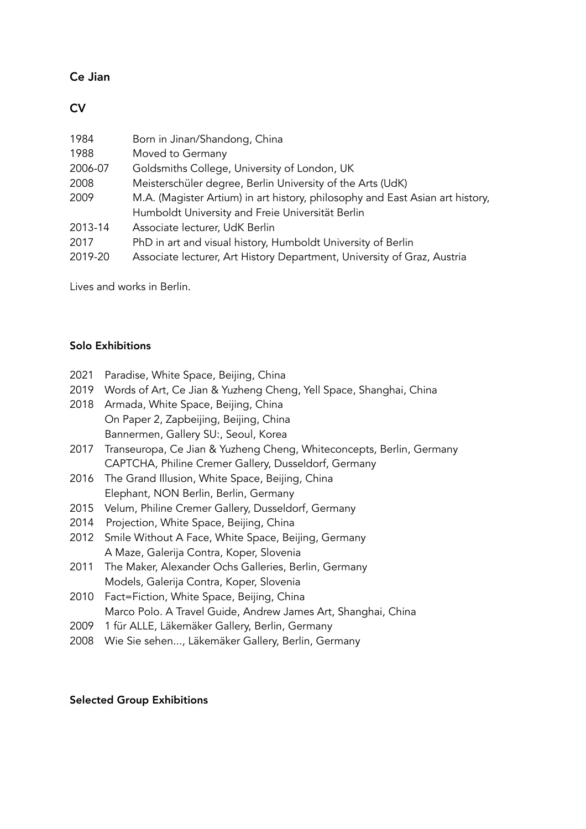## Ce Jian

## **CV**

| 1984    | Born in Jinan/Shandong, China                                                 |  |  |  |  |
|---------|-------------------------------------------------------------------------------|--|--|--|--|
| 1988    | Moved to Germany                                                              |  |  |  |  |
| 2006-07 | Goldsmiths College, University of London, UK                                  |  |  |  |  |
| 2008    | Meisterschüler degree, Berlin University of the Arts (UdK)                    |  |  |  |  |
| 2009    | M.A. (Magister Artium) in art history, philosophy and East Asian art history, |  |  |  |  |
|         | Humboldt University and Freie Universität Berlin                              |  |  |  |  |
| 2013-14 | Associate lecturer, UdK Berlin                                                |  |  |  |  |
| 2017    | PhD in art and visual history, Humboldt University of Berlin                  |  |  |  |  |
| 2019-20 | Associate lecturer, Art History Department, University of Graz, Austria       |  |  |  |  |

Lives and works in Berlin.

## Solo Exhibitions

|  | 2021 Paradise, White Space, Beijing, China |  |  |  |  |
|--|--------------------------------------------|--|--|--|--|
|--|--------------------------------------------|--|--|--|--|

- 2019 Words of Art, Ce Jian & Yuzheng Cheng, Yell Space, Shanghai, China
- 2018 Armada, White Space, Beijing, China On Paper 2, Zapbeijing, Beijing, China Bannermen, Gallery SU:, Seoul, Korea
- 2017 Transeuropa, Ce Jian & Yuzheng Cheng, Whiteconcepts, Berlin, Germany CAPTCHA, Philine Cremer Gallery, Dusseldorf, Germany
- 2016 The Grand Illusion, White Space, Beijing, China Elephant, NON Berlin, Berlin, Germany
- 2015 Velum, Philine Cremer Gallery, Dusseldorf, Germany
- 2014 Projection, White Space, Beijing, China
- 2012 Smile Without A Face, White Space, Beijing, Germany A Maze, Galerija Contra, Koper, Slovenia
- 2011 The Maker, Alexander Ochs Galleries, Berlin, Germany Models, Galerija Contra, Koper, Slovenia
- 2010 Fact=Fiction, White Space, Beijing, China Marco Polo. A Travel Guide, Andrew James Art, Shanghai, China
- 2009 1 für ALLE, Läkemäker Gallery, Berlin, Germany
- 2008 Wie Sie sehen..., Läkemäker Gallery, Berlin, Germany

## Selected Group Exhibitions